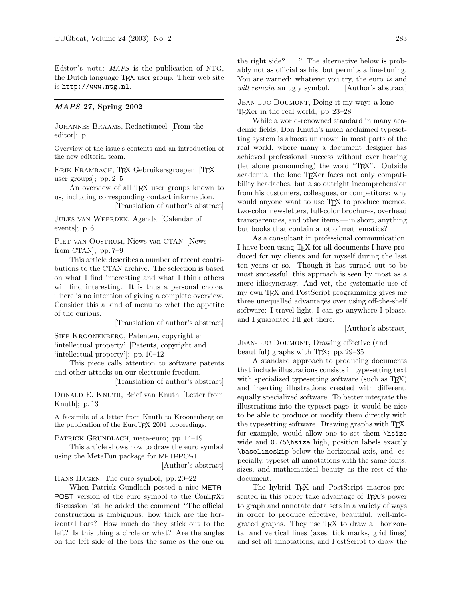Editor's note: MAPS is the publication of NTG, the Dutch language T<sub>E</sub>X user group. Their web site is http://www.ntg.nl.

## MAPS 27, Spring 2002

Johannes Braams, Redactioneel [From the editor]; p. 1

Overview of the issue's contents and an introduction of the new editorial team.

ERIK FRAMBACH, TEX Gebruikersgroepen [TEX user groups]; pp. 2–5

An overview of all T<sub>EX</sub> user groups known to us, including corresponding contact information.

[Translation of author's abstract]

Jules van Weerden, Agenda [Calendar of events]; p. 6

Piet van Oostrum, Niews van CTAN [News from CTAN]; pp. 7–9

This article describes a number of recent contributions to the CTAN archive. The selection is based on what I find interesting and what I think others will find interesting. It is thus a personal choice. There is no intention of giving a complete overview. Consider this a kind of menu to whet the appetite of the curious.

[Translation of author's abstract]

Siep Kroonenberg, Patenten, copyright en 'intellectual property' [Patents, copyright and 'intellectual property']; pp. 10–12

This piece calls attention to software patents and other attacks on our electronic freedom.

[Translation of author's abstract]

Donald E. Knuth, Brief van Knuth [Letter from Knuth]; p. 13

A facsimile of a letter from Knuth to Kroonenberg on the publication of the EuroT<sub>E</sub>X 2001 proceedings.

PATRICK GRUNDLACH, meta-euro; pp. 14–19

This article shows how to draw the euro symbol using the MetaFun package for METAPOST.

[Author's abstract]

Hans Hagen, The euro symbol; pp. 20–22

When Patrick Gundlach posted a nice META-POST version of the euro symbol to the ConTEXt discussion list, he added the comment "The official construction is ambiguous: how thick are the horizontal bars? How much do they stick out to the left? Is this thing a circle or what? Are the angles on the left side of the bars the same as the one on the right side? . . . " The alternative below is probably not as official as his, but permits a fine-tuning. You are warned: whatever you try, the euro is and will remain an ugly symbol. [Author's abstract]

Jean-luc Doumont, Doing it my way: a lone T<sub>F</sub>Xer in the real world; pp. 23–28

While a world-renowned standard in many academic fields, Don Knuth's much acclaimed typesetting system is almost unknown in most parts of the real world, where many a document designer has achieved professional success without ever hearing (let alone pronouncing) the word "TEX". Outside academia, the lone TEXer faces not only compatibility headaches, but also outright incomprehension from his customers, colleagues, or competitors: why would anyone want to use T<sub>F</sub>X to produce memos, two-color newsletters, full-color brochures, overhead transparencies, and other items — in short, anything but books that contain a lot of mathematics?

As a consultant in professional communication, I have been using T<sub>F</sub>X for all documents I have produced for my clients and for myself during the last ten years or so. Though it has turned out to be most successful, this approach is seen by most as a mere idiosyncrasy. And yet, the systematic use of my own TEX and PostScript programming gives me three unequalled advantages over using off-the-shelf software: I travel light, I can go anywhere I please, and I guarantee I'll get there.

[Author's abstract]

JEAN-LUC DOUMONT, Drawing effective (and beautiful) graphs with TEX; pp. 29–35

A standard approach to producing documents that include illustrations consists in typesetting text with specialized typesetting software (such as T<sub>EX</sub>) and inserting illustrations created with different, equally specialized software. To better integrate the illustrations into the typeset page, it would be nice to be able to produce or modify them directly with the typesetting software. Drawing graphs with T<sub>E</sub>X, for example, would allow one to set them \hsize wide and 0.75\hisize high, position labels exactly \baselineskip below the horizontal axis, and, especially, typeset all annotations with the same fonts, sizes, and mathematical beauty as the rest of the document.

The hybrid T<sub>F</sub>X and PostScript macros presented in this paper take advantage of T<sub>EX</sub>'s power to graph and annotate data sets in a variety of ways in order to produce effective, beautiful, well-integrated graphs. They use TEX to draw all horizontal and vertical lines (axes, tick marks, grid lines) and set all annotations, and PostScript to draw the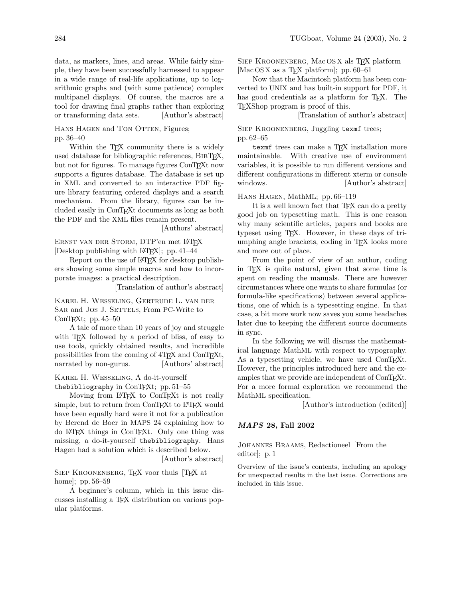HANS HAGEN and TON OTTEN, Figures; pp. 36–40

Within the T<sub>E</sub>X community there is a widely used database for bibliographic references, BibTEX, but not for figures. To manage figures ConTEXt now supports a figures database. The database is set up in XML and converted to an interactive PDF figure library featuring ordered displays and a search mechanism. From the library, figures can be included easily in ConTEXt documents as long as both the PDF and the XML files remain present.

[Authors' abstract]

ERNST VAN DER STORM, DTP'en met LATFX [Desktop publishing with  $\text{LATEX}$ ]; pp. 41–44

Report on the use of LATEX for desktop publishers showing some simple macros and how to incorporate images: a practical description.

[Translation of author's abstract]

Karel H. Wesseling, Gertrude L. van der SAR and JOS J. SETTELS, From PC-Write to ConT<sub>E</sub>Xt; pp.  $45-50$ 

A tale of more than 10 years of joy and struggle with TEX followed by a period of bliss, of easy to use tools, quickly obtained results, and incredible possibilities from the coming of 4TFX and ConTFXt, narrated by non-gurus. [Authors' abstract]

Karel H. Wesseling, A do-it-yourself thebibliography in ConTEXt; pp. 51–55

Moving from LATEX to ConTEXt is not really simple, but to return from ConT<sub>EXt</sub> to L<sup>AT</sup>EX would have been equally hard were it not for a publication by Berend de Boer in MAPS 24 explaining how to do LATEX things in ConTEXt. Only one thing was missing, a do-it-yourself thebibliography. Hans Hagen had a solution which is described below.

[Author's abstract]

SIEP KROONENBERG, TFX voor thuis TFX at home]; pp. 56–59

A beginner's column, which in this issue discusses installing a TEX distribution on various popular platforms.

SIEP KROONENBERG, Mac OS X als TEX platform [Mac OS X as a T<sub>E</sub>X platform]; pp. 60–61

Now that the Macintosh platform has been converted to UNIX and has built-in support for PDF, it has good credentials as a platform for T<sub>E</sub>X. The TEXShop program is proof of this.

[Translation of author's abstract]

Siep Kroonenberg, Juggling texmf trees; pp. 62–65

texmf trees can make a T<sub>F</sub>X installation more maintainable. With creative use of environment variables, it is possible to run different versions and different configurations in different xterm or console windows. [Author's abstract]

Hans Hagen, MathML; pp. 66–119

It is a well known fact that T<sub>F</sub>X can do a pretty good job on typesetting math. This is one reason why many scientific articles, papers and books are typeset using TEX. However, in these days of triumphing angle brackets, coding in TEX looks more and more out of place.

From the point of view of an author, coding in TEX is quite natural, given that some time is spent on reading the manuals. There are however circumstances where one wants to share formulas (or formula-like specifications) between several applications, one of which is a typesetting engine. In that case, a bit more work now saves you some headaches later due to keeping the different source documents in sync.

In the following we will discuss the mathematical language MathML with respect to typography. As a typesetting vehicle, we have used ConTEXt. However, the principles introduced here and the examples that we provide are independent of ConTEXt. For a more formal exploration we recommend the MathML specification.

[Author's introduction (edited)]

## MAPS 28, Fall 2002

Johannes Braams, Redactioneel [From the editor]; p. 1

Overview of the issue's contents, including an apology for unexpected results in the last issue. Corrections are included in this issue.